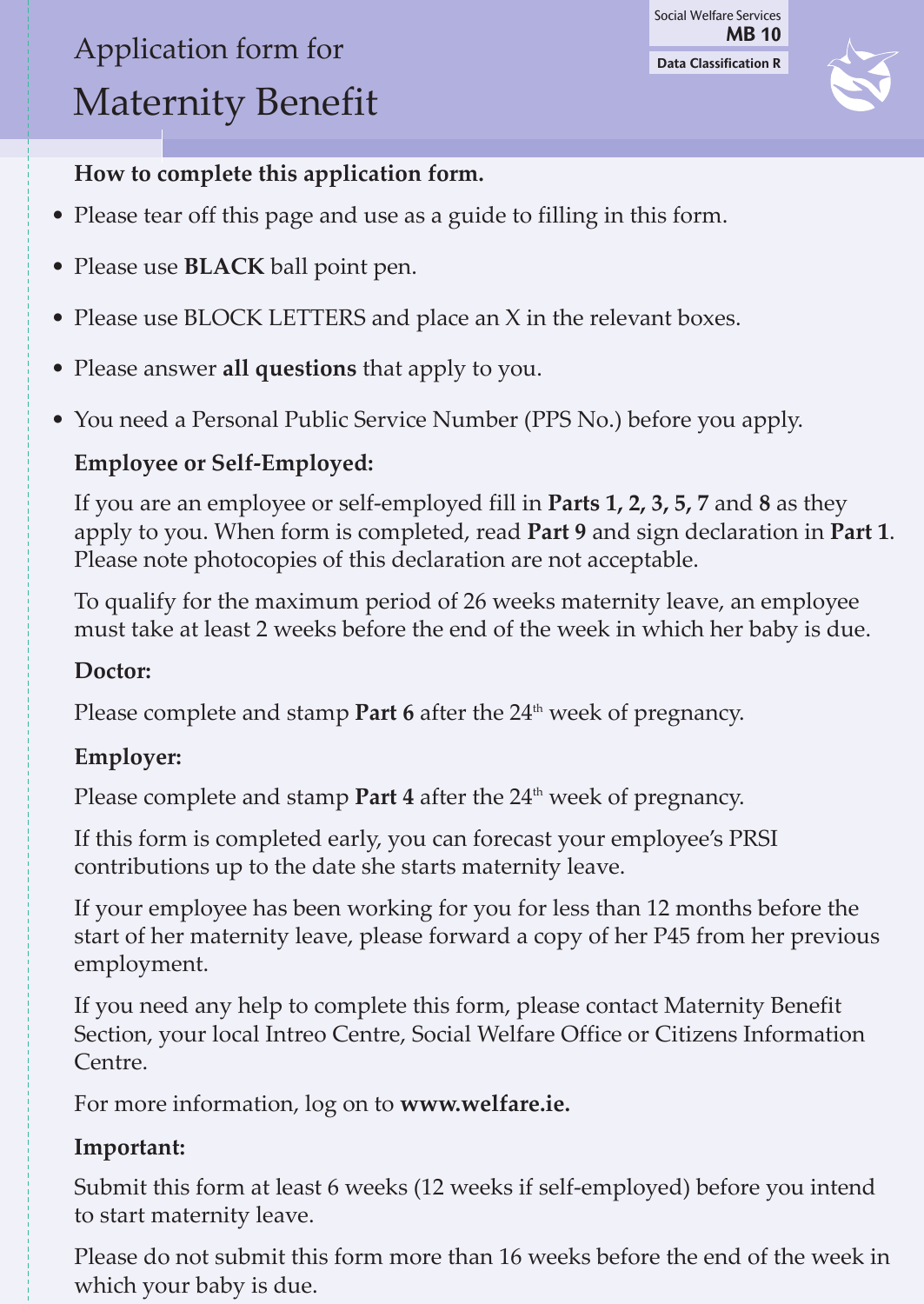# Application form for Maternity Benefit

**Data Classification R** Social Welfare Services **MB 10**



## **How to complete this application form.**

- Please tear off this page and use as a guide to filling in this form.
- Please use **black** ball point pen.
- Please use BLOCK LETTERS and place an X in the relevant boxes.
- Please answer **all questions** that apply to you.
- You need a Personal Public Service Number (PPS No.) before you apply.

## **Employee or Self-Employed:**

If you are an employee or self-employed fill in **Parts 1, 2, 3, 5, 7** and **8** as they apply to you. When form is completed, read **Part 9** and sign declaration in **Part 1**. Please note photocopies of this declaration are not acceptable.

To qualify for the maximum period of 26 weeks maternity leave, an employee must take at least 2 weeks before the end of the week in which her baby is due.

## **Doctor:**

Please complete and stamp **Part 6** after the 24<sup>th</sup> week of pregnancy.

## **Employer:**

Please complete and stamp **Part 4** after the 24<sup>th</sup> week of pregnancy.

If this form is completed early, you can forecast your employee's PRSI contributions up to the date she starts maternity leave.

If your employee has been working for you for less than 12 months before the start of her maternity leave, please forward a copy of her P45 from her previous employment.

If you need any help to complete this form, please contact Maternity Benefit Section, your local Intreo Centre, Social Welfare Office or Citizens Information Centre.

For more information, log on to **www.welfare.ie.**

## **Important:**

Submit this form at least 6 weeks (12 weeks if self-employed) before you intend to start maternity leave.

Please do not submit this form more than 16 weeks before the end of the week in which your baby is due.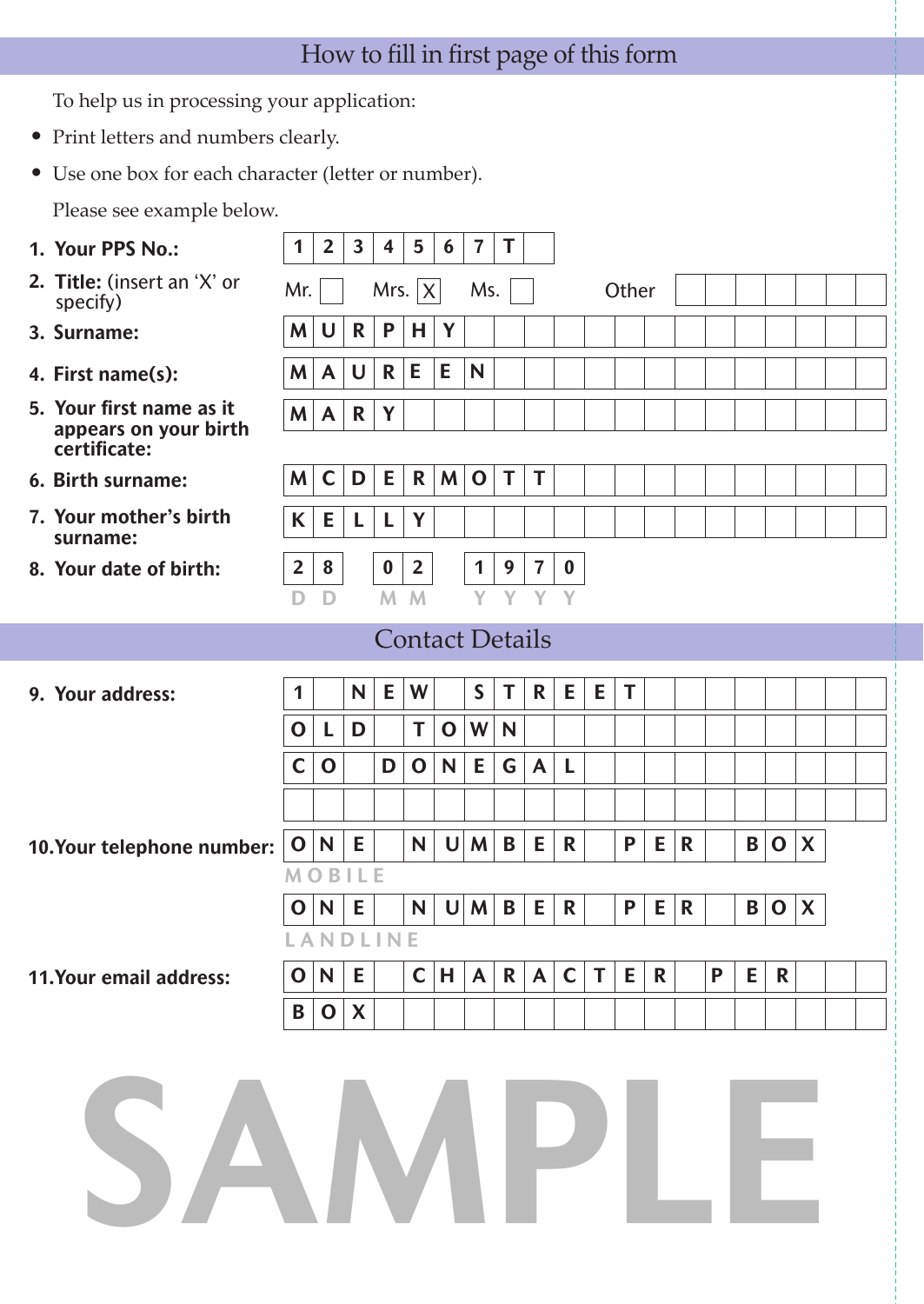# How to fill in first page of this form

To help us in processing your application:

- Print letters and numbers clearly.
- Use one box for each character (letter or number).

Please see example below.

| 1. Your PPS No.:                                                  | 1              | $\overline{2}$          | 3      | 4                | 5              | 6            | $\overline{7}$         | T |              |              |    |       |             |             |   |   |             |   |  |
|-------------------------------------------------------------------|----------------|-------------------------|--------|------------------|----------------|--------------|------------------------|---|--------------|--------------|----|-------|-------------|-------------|---|---|-------------|---|--|
| 2. Title: (insert an 'X' or<br>specify)                           | Mr.            |                         |        |                  | Mrs. $ X $     |              | Ms.                    |   |              |              |    | Other |             |             |   |   |             |   |  |
| 3. Surname:                                                       | M              | U                       | R      | P                | Н              | Y            |                        |   |              |              |    |       |             |             |   |   |             |   |  |
| 4. First name(s):                                                 | M              | A                       | $\cup$ | $\mathbf R$      | Е              | E            | N                      |   |              |              |    |       |             |             |   |   |             |   |  |
| 5. Your first name as it<br>appears on your birth<br>certificate: | M              | $\mathsf{A}$            | R      | Y                |                |              |                        |   |              |              |    |       |             |             |   |   |             |   |  |
| 6. Birth surname:                                                 | M              | $\mathsf{C}$            | D      | Е                | R              | M            | $\mathbf 0$            | T | T            |              |    |       |             |             |   |   |             |   |  |
| 7. Your mother's birth<br>surname:                                | K              | E                       | L      | L                | Y              |              |                        |   |              |              |    |       |             |             |   |   |             |   |  |
| 8. Your date of birth:                                            | $\overline{2}$ | 8                       |        | $\boldsymbol{0}$ | $\overline{2}$ |              | 1                      | 9 | 7            | $\bf{0}$     |    |       |             |             |   |   |             |   |  |
|                                                                   |                | D                       |        | M                | M              |              |                        |   | Y            | Y            |    |       |             |             |   |   |             |   |  |
|                                                                   |                |                         |        |                  |                |              | <b>Contact Details</b> |   |              |              |    |       |             |             |   |   |             |   |  |
| 9. Your address:                                                  | 1              |                         | N      | E                | W              |              | S                      | T | R.           | E            | E  | T     |             |             |   |   |             |   |  |
|                                                                   | $\mathbf 0$    | L                       | D      |                  | Τ              | $\mathbf 0$  | W                      | N |              |              |    |       |             |             |   |   |             |   |  |
|                                                                   | C              | $\mathbf 0$             |        | D                | $\mathbf 0$    | N            | Е                      | G | $\mathsf{A}$ | L            |    |       |             |             |   |   |             |   |  |
|                                                                   |                |                         |        |                  |                |              |                        |   |              |              |    |       |             |             |   |   |             |   |  |
| 10.Your telephone number:                                         | $\mathbf O$    | N                       | E      |                  | N              | $\mathsf{U}$ | M                      | B | E            | R            |    | P     | E           | $\mathbf R$ |   | B | $\mathbf 0$ | X |  |
|                                                                   | M              | B                       |        |                  |                |              |                        |   |              |              |    |       |             |             |   |   |             |   |  |
|                                                                   | O              | N                       | E      |                  | N              | $\mathsf{U}$ | M                      | B | Е            | R            |    | P     | E.          | $\mathbf R$ |   | B | $\mathbf 0$ | X |  |
|                                                                   |                | ANDLINE                 |        |                  |                |              |                        |   |              |              |    |       |             |             |   |   |             |   |  |
| 11.Your email address:                                            | $\mathbf 0$    | $\overline{\mathsf{N}}$ | E      |                  |                | C H          | $\mathsf{A}$           |   | $R$ $A$      | $\mathsf{C}$ | T. | E     | $\mathbf R$ |             | P | E | R           |   |  |
|                                                                   | B              | $\mathbf 0$             | X      |                  |                |              |                        |   |              |              |    |       |             |             |   |   |             |   |  |
| SAMPLE                                                            |                |                         |        |                  |                |              |                        |   |              |              |    |       |             |             |   |   |             |   |  |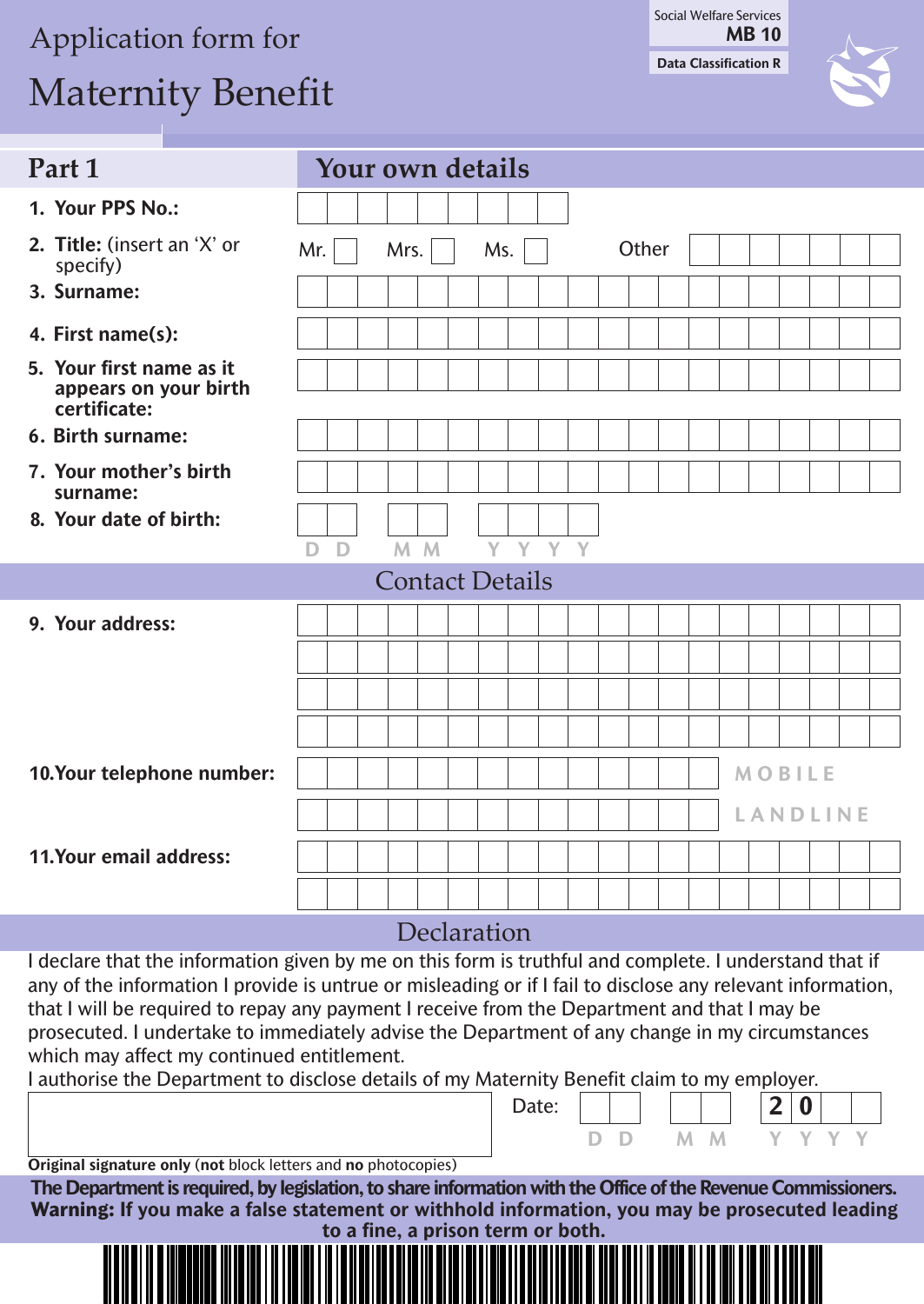# Application form for

# Maternity Benefit

**Data Classification R** Social Welfare Services **MB 10**



| Part 1                                                                                                                                                                                                                                                                                                                                                                                                                                                                                                                                                              |     |              |                |  | Your own details       |       |  |       |  |  |               |                 |  |
|---------------------------------------------------------------------------------------------------------------------------------------------------------------------------------------------------------------------------------------------------------------------------------------------------------------------------------------------------------------------------------------------------------------------------------------------------------------------------------------------------------------------------------------------------------------------|-----|--------------|----------------|--|------------------------|-------|--|-------|--|--|---------------|-----------------|--|
| 1. Your PPS No.:                                                                                                                                                                                                                                                                                                                                                                                                                                                                                                                                                    |     |              |                |  |                        |       |  |       |  |  |               |                 |  |
| 2. Title: (insert an 'X' or<br>specify)                                                                                                                                                                                                                                                                                                                                                                                                                                                                                                                             | Mr. |              | Mrs.           |  | Ms.                    |       |  | Other |  |  |               |                 |  |
| 3. Surname:                                                                                                                                                                                                                                                                                                                                                                                                                                                                                                                                                         |     |              |                |  |                        |       |  |       |  |  |               |                 |  |
| 4. First name(s):                                                                                                                                                                                                                                                                                                                                                                                                                                                                                                                                                   |     |              |                |  |                        |       |  |       |  |  |               |                 |  |
| 5. Your first name as it<br>appears on your birth<br>certificate:                                                                                                                                                                                                                                                                                                                                                                                                                                                                                                   |     |              |                |  |                        |       |  |       |  |  |               |                 |  |
| 6. Birth surname:                                                                                                                                                                                                                                                                                                                                                                                                                                                                                                                                                   |     |              |                |  |                        |       |  |       |  |  |               |                 |  |
| 7. Your mother's birth<br>surname:                                                                                                                                                                                                                                                                                                                                                                                                                                                                                                                                  |     |              |                |  |                        |       |  |       |  |  |               |                 |  |
| 8. Your date of birth:                                                                                                                                                                                                                                                                                                                                                                                                                                                                                                                                              |     |              |                |  |                        |       |  |       |  |  |               |                 |  |
|                                                                                                                                                                                                                                                                                                                                                                                                                                                                                                                                                                     | D   | $\mathsf{D}$ | M <sub>M</sub> |  | Y                      | Y Y Y |  |       |  |  |               |                 |  |
|                                                                                                                                                                                                                                                                                                                                                                                                                                                                                                                                                                     |     |              |                |  | <b>Contact Details</b> |       |  |       |  |  |               |                 |  |
| 9. Your address:                                                                                                                                                                                                                                                                                                                                                                                                                                                                                                                                                    |     |              |                |  |                        |       |  |       |  |  |               |                 |  |
|                                                                                                                                                                                                                                                                                                                                                                                                                                                                                                                                                                     |     |              |                |  |                        |       |  |       |  |  |               |                 |  |
|                                                                                                                                                                                                                                                                                                                                                                                                                                                                                                                                                                     |     |              |                |  |                        |       |  |       |  |  |               |                 |  |
|                                                                                                                                                                                                                                                                                                                                                                                                                                                                                                                                                                     |     |              |                |  |                        |       |  |       |  |  |               |                 |  |
| 10.Your telephone number:                                                                                                                                                                                                                                                                                                                                                                                                                                                                                                                                           |     |              |                |  |                        |       |  |       |  |  | <b>MOBILE</b> |                 |  |
|                                                                                                                                                                                                                                                                                                                                                                                                                                                                                                                                                                     |     |              |                |  |                        |       |  |       |  |  |               | <b>LANDLINE</b> |  |
|                                                                                                                                                                                                                                                                                                                                                                                                                                                                                                                                                                     |     |              |                |  |                        |       |  |       |  |  |               |                 |  |
| <b>11. Your email address:</b>                                                                                                                                                                                                                                                                                                                                                                                                                                                                                                                                      |     |              |                |  |                        |       |  |       |  |  |               |                 |  |
|                                                                                                                                                                                                                                                                                                                                                                                                                                                                                                                                                                     |     |              |                |  |                        |       |  |       |  |  |               |                 |  |
|                                                                                                                                                                                                                                                                                                                                                                                                                                                                                                                                                                     |     |              |                |  | Declaration            |       |  |       |  |  |               |                 |  |
| I declare that the information given by me on this form is truthful and complete. I understand that if<br>any of the information I provide is untrue or misleading or if I fail to disclose any relevant information,<br>that I will be required to repay any payment I receive from the Department and that I may be<br>prosecuted. I undertake to immediately advise the Department of any change in my circumstances<br>which may affect my continued entitlement.<br>Lauthorice the Department to disclose details of my Maternity Repetit claim to my employer |     |              |                |  |                        |       |  |       |  |  |               |                 |  |

authorise the Department

**Original signature only** (**not** block letters and **no** photocopies)

The Department is required, by legislation, to share information with the Office of the Revenue Commissioners. **Warning: If you make a false statement or withhold information, you may be prosecuted leading to a fine, a prison term or both.**

Date:

**D D M M Y Y Y Y**

**2 0** 

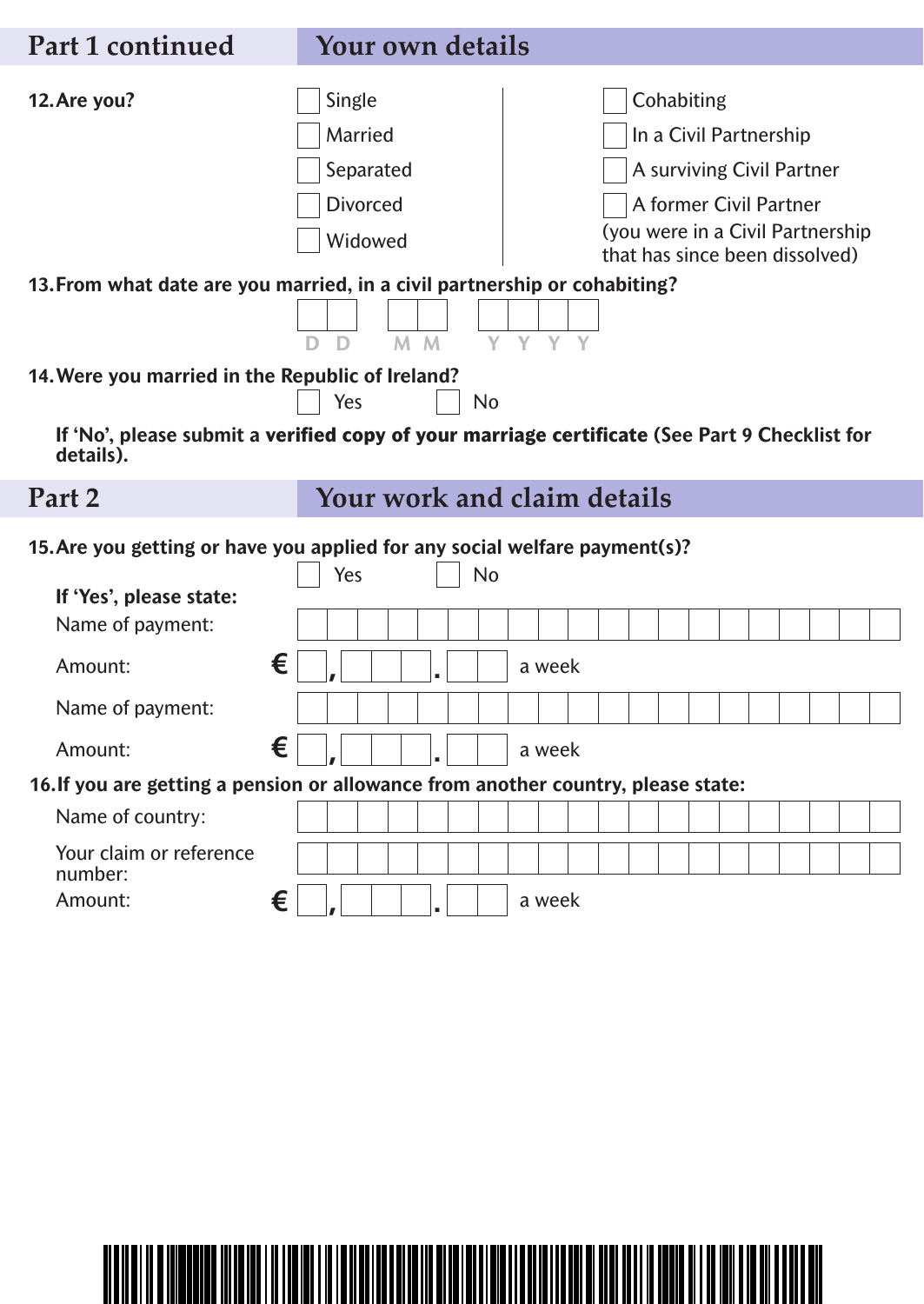| Part 1 continued                                 | <b>Your own details</b>                                                                                                                                                                                                                                                                                                   |
|--------------------------------------------------|---------------------------------------------------------------------------------------------------------------------------------------------------------------------------------------------------------------------------------------------------------------------------------------------------------------------------|
| 12. Are you?                                     | Cohabiting<br>Single<br>Married<br>In a Civil Partnership<br>Separated<br>A surviving Civil Partner<br><b>Divorced</b><br>A former Civil Partner<br>(you were in a Civil Partnership<br>Widowed<br>that has since been dissolved)<br>13. From what date are you married, in a civil partnership or cohabiting?<br>$M$ $M$ |
| 14. Were you married in the Republic of Ireland? | <b>No</b><br>Yes                                                                                                                                                                                                                                                                                                          |
| details).                                        | If 'No', please submit a verified copy of your marriage certificate (See Part 9 Checklist for                                                                                                                                                                                                                             |
| Part 2                                           | Your work and claim details                                                                                                                                                                                                                                                                                               |
|                                                  | 15. Are you getting or have you applied for any social welfare payment(s)?<br><b>No</b><br>Yes                                                                                                                                                                                                                            |
| If 'Yes', please state:<br>Name of payment:      |                                                                                                                                                                                                                                                                                                                           |
| Amount:                                          | €<br>a week                                                                                                                                                                                                                                                                                                               |
| Name of payment:                                 |                                                                                                                                                                                                                                                                                                                           |
| Amount:                                          | €<br>a week<br>$\mathbf{L}$<br>Ш                                                                                                                                                                                                                                                                                          |
|                                                  | 16. If you are getting a pension or allowance from another country, please state:                                                                                                                                                                                                                                         |
| Name of country:                                 |                                                                                                                                                                                                                                                                                                                           |
| Your claim or reference<br>number:               |                                                                                                                                                                                                                                                                                                                           |
| Amount:                                          | €<br>a week                                                                                                                                                                                                                                                                                                               |

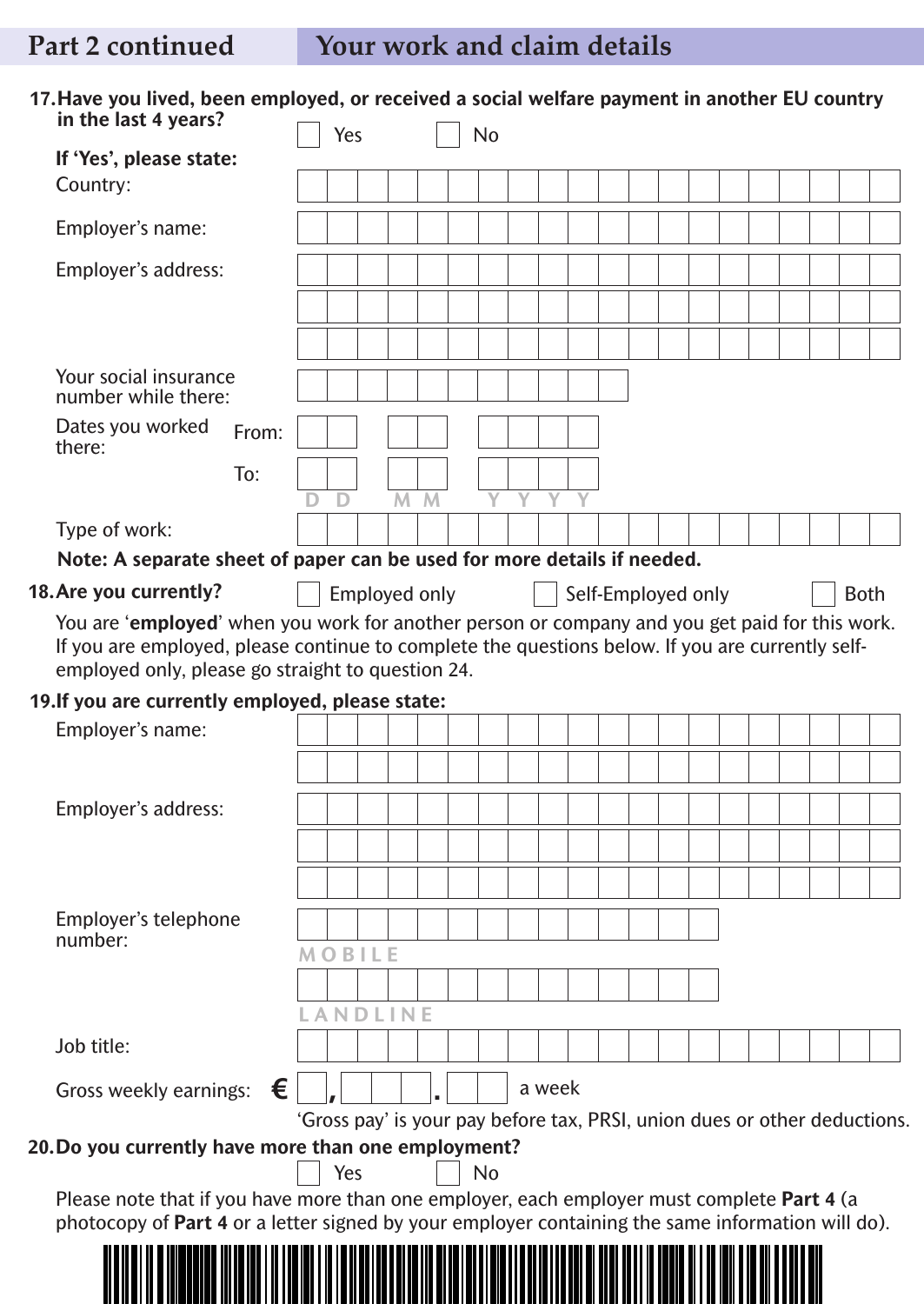|                                                                                                                                                                                                              |       | Yes                  |   |   | <b>No</b>                                                                 |        |  |                    |  |  |  |             |  |
|--------------------------------------------------------------------------------------------------------------------------------------------------------------------------------------------------------------|-------|----------------------|---|---|---------------------------------------------------------------------------|--------|--|--------------------|--|--|--|-------------|--|
| If 'Yes', please state:                                                                                                                                                                                      |       |                      |   |   |                                                                           |        |  |                    |  |  |  |             |  |
| Country:                                                                                                                                                                                                     |       |                      |   |   |                                                                           |        |  |                    |  |  |  |             |  |
| Employer's name:                                                                                                                                                                                             |       |                      |   |   |                                                                           |        |  |                    |  |  |  |             |  |
| Employer's address:                                                                                                                                                                                          |       |                      |   |   |                                                                           |        |  |                    |  |  |  |             |  |
|                                                                                                                                                                                                              |       |                      |   |   |                                                                           |        |  |                    |  |  |  |             |  |
|                                                                                                                                                                                                              |       |                      |   |   |                                                                           |        |  |                    |  |  |  |             |  |
| Your social insurance<br>number while there:                                                                                                                                                                 |       |                      |   |   |                                                                           |        |  |                    |  |  |  |             |  |
| Dates you worked<br>there:                                                                                                                                                                                   | From: |                      |   |   |                                                                           |        |  |                    |  |  |  |             |  |
|                                                                                                                                                                                                              | To:   | D                    | M | M |                                                                           |        |  |                    |  |  |  |             |  |
| Type of work:                                                                                                                                                                                                |       |                      |   |   |                                                                           |        |  |                    |  |  |  |             |  |
| Note: A separate sheet of paper can be used for more details if needed.                                                                                                                                      |       |                      |   |   |                                                                           |        |  |                    |  |  |  |             |  |
| 18. Are you currently?                                                                                                                                                                                       |       |                      |   |   |                                                                           |        |  |                    |  |  |  |             |  |
| You are 'employed' when you work for another person or company and you get paid for this work.                                                                                                               |       | <b>Employed only</b> |   |   |                                                                           |        |  | Self-Employed only |  |  |  | <b>Both</b> |  |
| If you are employed, please continue to complete the questions below. If you are currently self-<br>employed only, please go straight to question 24.                                                        |       |                      |   |   |                                                                           |        |  |                    |  |  |  |             |  |
|                                                                                                                                                                                                              |       |                      |   |   |                                                                           |        |  |                    |  |  |  |             |  |
|                                                                                                                                                                                                              |       |                      |   |   |                                                                           |        |  |                    |  |  |  |             |  |
| Employer's name:                                                                                                                                                                                             |       |                      |   |   |                                                                           |        |  |                    |  |  |  |             |  |
|                                                                                                                                                                                                              |       |                      |   |   |                                                                           |        |  |                    |  |  |  |             |  |
|                                                                                                                                                                                                              |       |                      |   |   |                                                                           |        |  |                    |  |  |  |             |  |
| Employer's address:                                                                                                                                                                                          |       |                      |   |   |                                                                           |        |  |                    |  |  |  |             |  |
|                                                                                                                                                                                                              |       |                      |   |   |                                                                           |        |  |                    |  |  |  |             |  |
|                                                                                                                                                                                                              |       |                      |   |   |                                                                           |        |  |                    |  |  |  |             |  |
| Employer's telephone<br>number:                                                                                                                                                                              |       |                      |   |   |                                                                           |        |  |                    |  |  |  |             |  |
|                                                                                                                                                                                                              |       | <b>MOBILE</b>        |   |   |                                                                           |        |  |                    |  |  |  |             |  |
|                                                                                                                                                                                                              |       |                      |   |   |                                                                           |        |  |                    |  |  |  |             |  |
|                                                                                                                                                                                                              |       | <b>ANDLINE</b>       |   |   |                                                                           |        |  |                    |  |  |  |             |  |
| Job title:                                                                                                                                                                                                   |       |                      |   |   |                                                                           |        |  |                    |  |  |  |             |  |
| Gross weekly earnings:                                                                                                                                                                                       | €     |                      |   |   |                                                                           | a week |  |                    |  |  |  |             |  |
|                                                                                                                                                                                                              |       |                      |   |   | 'Gross pay' is your pay before tax, PRSI, union dues or other deductions. |        |  |                    |  |  |  |             |  |
|                                                                                                                                                                                                              |       |                      |   |   |                                                                           |        |  |                    |  |  |  |             |  |
|                                                                                                                                                                                                              |       | Yes                  |   |   | <b>No</b>                                                                 |        |  |                    |  |  |  |             |  |
| Please note that if you have more than one employer, each employer must complete Part 4 (a                                                                                                                   |       |                      |   |   |                                                                           |        |  |                    |  |  |  |             |  |
| 19. If you are currently employed, please state:<br>20. Do you currently have more than one employment?<br>photocopy of Part 4 or a letter signed by your employer containing the same information will do). |       |                      |   |   |                                                                           |        |  |                    |  |  |  |             |  |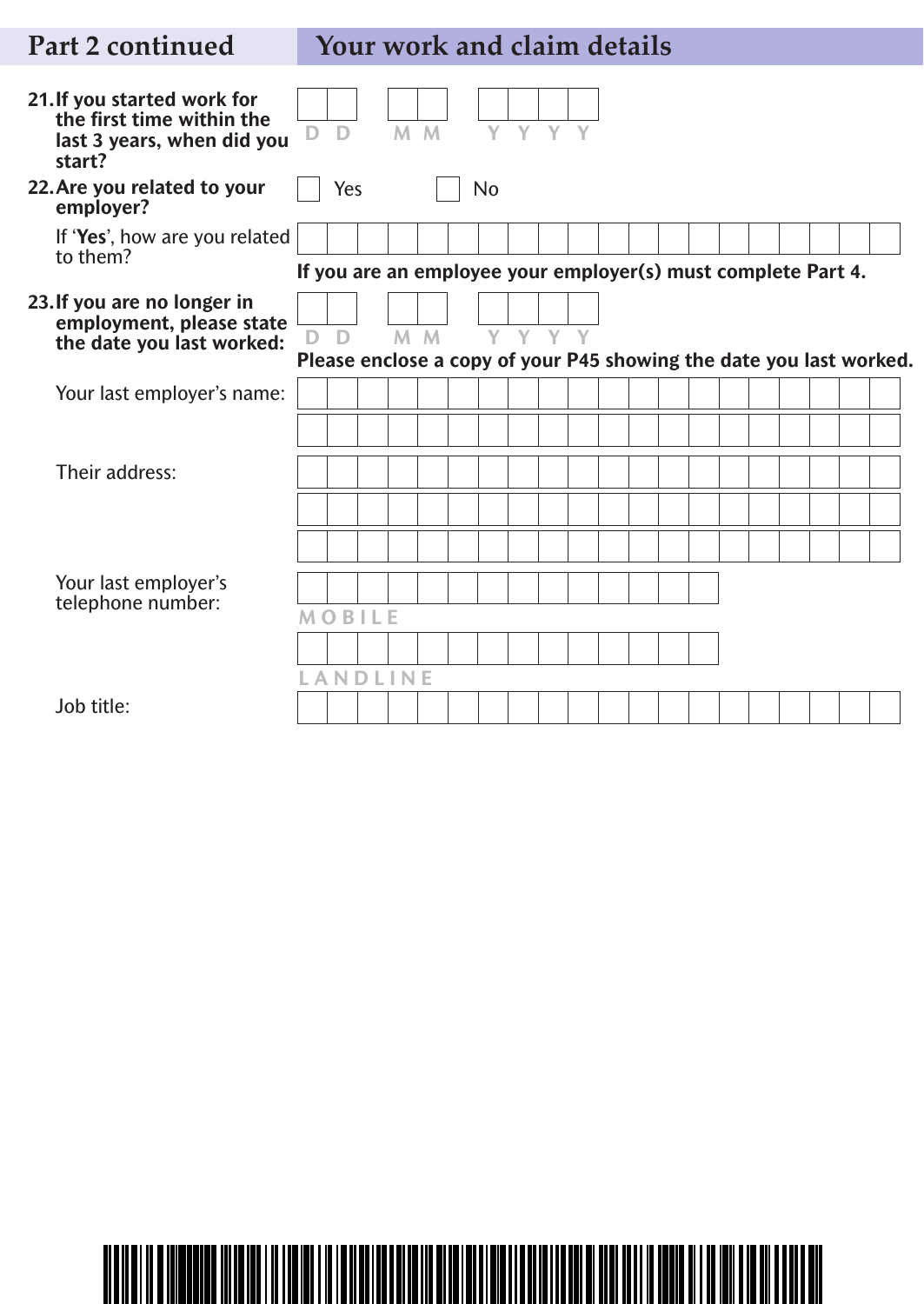# **Part 2 continued Your work and claim details**

| 21. If you started work for<br>the first time within the<br>last 3 years, when did you<br>start? | D | D   |                | M M            | V         | Y | Y. |  |  |  |  |                                                               |                                                                     |
|--------------------------------------------------------------------------------------------------|---|-----|----------------|----------------|-----------|---|----|--|--|--|--|---------------------------------------------------------------|---------------------------------------------------------------------|
| 22. Are you related to your<br>employer?                                                         |   | Yes |                |                | <b>No</b> |   |    |  |  |  |  |                                                               |                                                                     |
| If 'Yes', how are you related<br>to them?                                                        |   |     |                |                |           |   |    |  |  |  |  |                                                               |                                                                     |
|                                                                                                  |   |     |                |                |           |   |    |  |  |  |  | If you are an employee your employer(s) must complete Part 4. |                                                                     |
| 23. If you are no longer in<br>employment, please state                                          |   |     |                |                |           |   |    |  |  |  |  |                                                               |                                                                     |
| the date you last worked:                                                                        | D | D   |                | M <sub>M</sub> | Y Y Y Y   |   |    |  |  |  |  |                                                               | Please enclose a copy of your P45 showing the date you last worked. |
| Your last employer's name:                                                                       |   |     |                |                |           |   |    |  |  |  |  |                                                               |                                                                     |
|                                                                                                  |   |     |                |                |           |   |    |  |  |  |  |                                                               |                                                                     |
| Their address:                                                                                   |   |     |                |                |           |   |    |  |  |  |  |                                                               |                                                                     |
|                                                                                                  |   |     |                |                |           |   |    |  |  |  |  |                                                               |                                                                     |
|                                                                                                  |   |     |                |                |           |   |    |  |  |  |  |                                                               |                                                                     |
| Your last employer's<br>telephone number:                                                        |   |     |                |                |           |   |    |  |  |  |  |                                                               |                                                                     |
|                                                                                                  |   |     | <b>MOBILE</b>  |                |           |   |    |  |  |  |  |                                                               |                                                                     |
|                                                                                                  |   |     |                |                |           |   |    |  |  |  |  |                                                               |                                                                     |
|                                                                                                  |   |     | <b>ANDLINE</b> |                |           |   |    |  |  |  |  |                                                               |                                                                     |
| Job title:                                                                                       |   |     |                |                |           |   |    |  |  |  |  |                                                               |                                                                     |

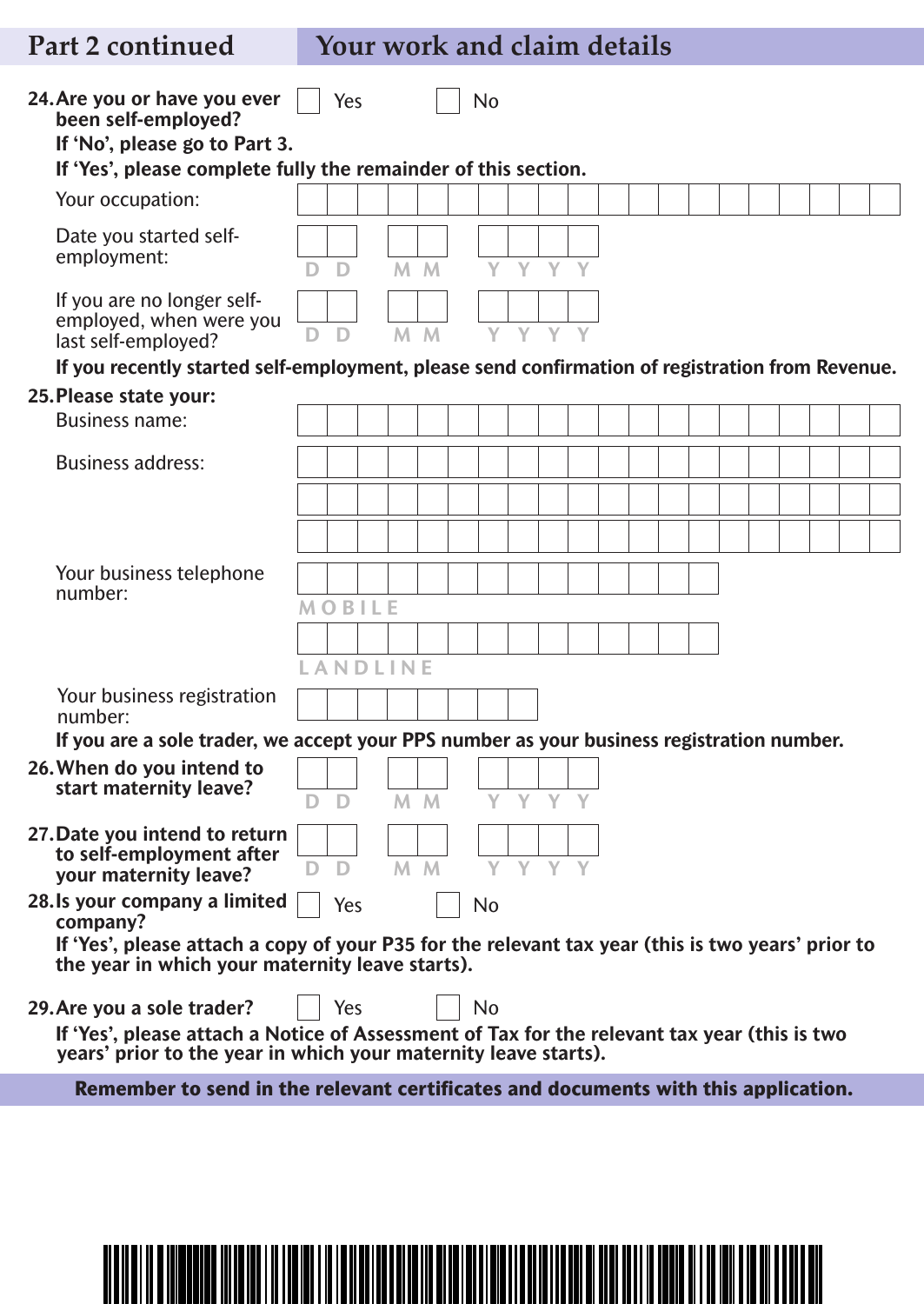# **Part 2 continued Your work and claim details**

| 24. Are you or have you ever                                                                                                                                    | Yes |                |                |     | No         |    |   |   |  |  |  |  |  |
|-----------------------------------------------------------------------------------------------------------------------------------------------------------------|-----|----------------|----------------|-----|------------|----|---|---|--|--|--|--|--|
| been self-employed?<br>If 'No', please go to Part 3.                                                                                                            |     |                |                |     |            |    |   |   |  |  |  |  |  |
| If 'Yes', please complete fully the remainder of this section.                                                                                                  |     |                |                |     |            |    |   |   |  |  |  |  |  |
| Your occupation:                                                                                                                                                |     |                |                |     |            |    |   |   |  |  |  |  |  |
| Date you started self-                                                                                                                                          |     |                |                |     |            |    |   |   |  |  |  |  |  |
| employment:                                                                                                                                                     | D   |                | M <sub>M</sub> |     | Y          | Y. | Y | Y |  |  |  |  |  |
| If you are no longer self-                                                                                                                                      |     |                |                |     |            |    |   |   |  |  |  |  |  |
| employed, when were you<br>last self-employed?                                                                                                                  | D   |                | M <sub>M</sub> |     | Y          | Y  | Y |   |  |  |  |  |  |
| If you recently started self-employment, please send confirmation of registration from Revenue.                                                                 |     |                |                |     |            |    |   |   |  |  |  |  |  |
| 25. Please state your:                                                                                                                                          |     |                |                |     |            |    |   |   |  |  |  |  |  |
| <b>Business name:</b>                                                                                                                                           |     |                |                |     |            |    |   |   |  |  |  |  |  |
| <b>Business address:</b>                                                                                                                                        |     |                |                |     |            |    |   |   |  |  |  |  |  |
|                                                                                                                                                                 |     |                |                |     |            |    |   |   |  |  |  |  |  |
|                                                                                                                                                                 |     |                |                |     |            |    |   |   |  |  |  |  |  |
| Your business telephone                                                                                                                                         |     |                |                |     |            |    |   |   |  |  |  |  |  |
| number:                                                                                                                                                         |     | <b>MOBILE</b>  |                |     |            |    |   |   |  |  |  |  |  |
|                                                                                                                                                                 |     |                |                |     |            |    |   |   |  |  |  |  |  |
|                                                                                                                                                                 |     | <b>ANDLINE</b> |                |     |            |    |   |   |  |  |  |  |  |
| Your business registration<br>number:                                                                                                                           |     |                |                |     |            |    |   |   |  |  |  |  |  |
| If you are a sole trader, we accept your PPS number as your business registration number.                                                                       |     |                |                |     |            |    |   |   |  |  |  |  |  |
| 26. When do you intend to<br>start maternity leave?                                                                                                             |     |                |                |     |            |    |   |   |  |  |  |  |  |
|                                                                                                                                                                 |     |                |                |     | DD MM YYYY |    |   |   |  |  |  |  |  |
| 27. Date you intend to return<br>to self-employment after                                                                                                       |     |                |                |     |            |    |   |   |  |  |  |  |  |
| your maternity leave?                                                                                                                                           |     |                |                | M M |            | Y. |   |   |  |  |  |  |  |
| 28. Is your company a limited<br>company?                                                                                                                       | Yes |                |                |     | No         |    |   |   |  |  |  |  |  |
| If 'Yes', please attach a copy of your P35 for the relevant tax year (this is two years' prior to<br>the year in which your maternity leave starts).            |     |                |                |     |            |    |   |   |  |  |  |  |  |
| 29. Are you a sole trader?                                                                                                                                      | Yes |                |                |     | No         |    |   |   |  |  |  |  |  |
| If 'Yes', please attach a Notice of Assessment of Tax for the relevant tax year (this is two<br>years' prior to the year in which your maternity leave starts). |     |                |                |     |            |    |   |   |  |  |  |  |  |
| Remember to send in the relevant certificates and documents with this application.                                                                              |     |                |                |     |            |    |   |   |  |  |  |  |  |
|                                                                                                                                                                 |     |                |                |     |            |    |   |   |  |  |  |  |  |
|                                                                                                                                                                 |     |                |                |     |            |    |   |   |  |  |  |  |  |
|                                                                                                                                                                 |     |                |                |     |            |    |   |   |  |  |  |  |  |
|                                                                                                                                                                 |     |                |                |     |            |    |   |   |  |  |  |  |  |

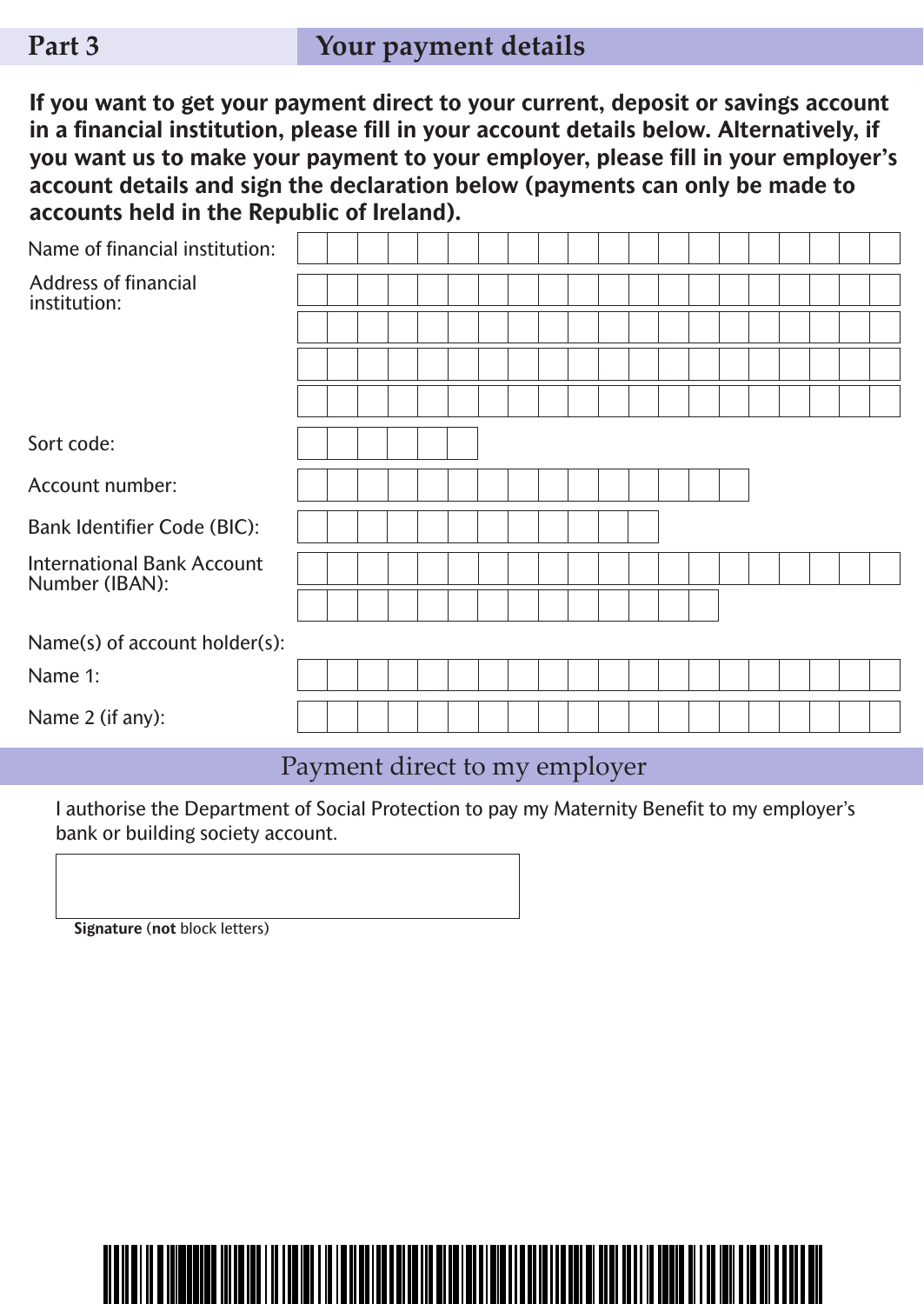**If you want to get your payment direct to your current, deposit or savings account in a financial institution, please fill in your account details below. Alternatively, if you want us to make your payment to your employer, please fill in your employer's account details and sign the declaration below (payments can only be made to accounts held in the Republic of Ireland).**

| Name of financial institution:                      |  |  |  |  |  |  |  |  |  |  |
|-----------------------------------------------------|--|--|--|--|--|--|--|--|--|--|
| <b>Address of financial</b><br>institution:         |  |  |  |  |  |  |  |  |  |  |
|                                                     |  |  |  |  |  |  |  |  |  |  |
|                                                     |  |  |  |  |  |  |  |  |  |  |
|                                                     |  |  |  |  |  |  |  |  |  |  |
| Sort code:                                          |  |  |  |  |  |  |  |  |  |  |
| Account number:                                     |  |  |  |  |  |  |  |  |  |  |
| <b>Bank Identifier Code (BIC):</b>                  |  |  |  |  |  |  |  |  |  |  |
| <b>International Bank Account</b><br>Number (IBAN): |  |  |  |  |  |  |  |  |  |  |
|                                                     |  |  |  |  |  |  |  |  |  |  |
| Name(s) of account holder(s):                       |  |  |  |  |  |  |  |  |  |  |
| Name 1:                                             |  |  |  |  |  |  |  |  |  |  |
| Name 2 (if any):                                    |  |  |  |  |  |  |  |  |  |  |

## Payment direct to my employer

I authorise the Department of Social Protection to pay my Maternity Benefit to my employer's bank or building society account.

**Signature** (**not** block letters)

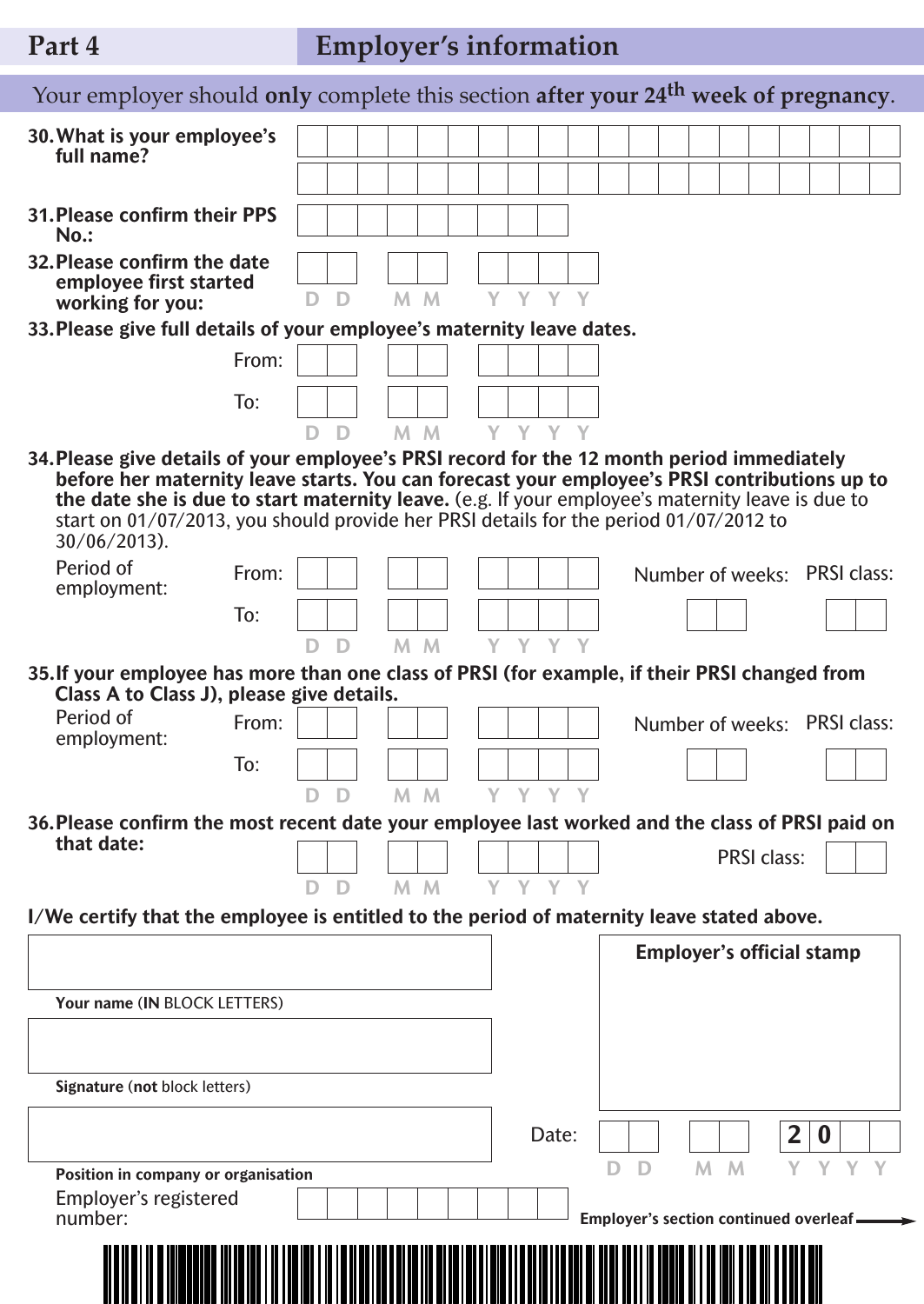# **Part 4 Employer's information**

| Your employer should only complete this section after your 24 <sup>th</sup> week of pregnancy.                                                                                                                                                                                                                                                                                                             |       |    |   |  |                |            |         |       |   |                                         |    |                                  |   |                              |  |
|------------------------------------------------------------------------------------------------------------------------------------------------------------------------------------------------------------------------------------------------------------------------------------------------------------------------------------------------------------------------------------------------------------|-------|----|---|--|----------------|------------|---------|-------|---|-----------------------------------------|----|----------------------------------|---|------------------------------|--|
| 30. What is your employee's<br>full name?                                                                                                                                                                                                                                                                                                                                                                  |       |    |   |  |                |            |         |       |   |                                         |    |                                  |   |                              |  |
|                                                                                                                                                                                                                                                                                                                                                                                                            |       |    |   |  |                |            |         |       |   |                                         |    |                                  |   |                              |  |
| <b>31. Please confirm their PPS</b><br>$No.$ :                                                                                                                                                                                                                                                                                                                                                             |       |    |   |  |                |            |         |       |   |                                         |    |                                  |   |                              |  |
| 32. Please confirm the date<br>employee first started<br>working for you:                                                                                                                                                                                                                                                                                                                                  |       | D  | D |  | M M            |            | Y Y Y Y |       |   |                                         |    |                                  |   |                              |  |
| 33. Please give full details of your employee's maternity leave dates.                                                                                                                                                                                                                                                                                                                                     |       |    |   |  |                |            |         |       |   |                                         |    |                                  |   |                              |  |
|                                                                                                                                                                                                                                                                                                                                                                                                            | From: |    |   |  |                |            |         |       |   |                                         |    |                                  |   |                              |  |
|                                                                                                                                                                                                                                                                                                                                                                                                            | To:   |    |   |  |                |            |         |       |   |                                         |    |                                  |   |                              |  |
|                                                                                                                                                                                                                                                                                                                                                                                                            |       |    |   |  |                | DD MM YYYY |         |       |   |                                         |    |                                  |   |                              |  |
| 34. Please give details of your employee's PRSI record for the 12 month period immediately<br>before her maternity leave starts. You can forecast your employee's PRSI contributions up to<br>the date she is due to start maternity leave. (e.g. If your employee's maternity leave is due to<br>start on 01/07/2013, you should provide her PRSI details for the period 01/07/2012 to<br>$30/06/2013$ ). |       |    |   |  |                |            |         |       |   |                                         |    |                                  |   |                              |  |
| Period of<br>employment:                                                                                                                                                                                                                                                                                                                                                                                   | From: |    |   |  |                |            |         |       |   |                                         |    |                                  |   | Number of weeks: PRSI class: |  |
|                                                                                                                                                                                                                                                                                                                                                                                                            | To:   |    |   |  |                |            |         |       |   |                                         |    |                                  |   |                              |  |
|                                                                                                                                                                                                                                                                                                                                                                                                            |       | D. | D |  | M <sub>M</sub> |            | Y Y Y Y |       |   |                                         |    |                                  |   |                              |  |
| 35. If your employee has more than one class of PRSI (for example, if their PRSI changed from<br>Class A to Class J), please give details.                                                                                                                                                                                                                                                                 |       |    |   |  |                |            |         |       |   |                                         |    |                                  |   |                              |  |
| Period of<br>employment:                                                                                                                                                                                                                                                                                                                                                                                   | From: |    |   |  |                |            |         |       |   |                                         |    |                                  |   | Number of weeks: PRSI class: |  |
|                                                                                                                                                                                                                                                                                                                                                                                                            | To:   |    |   |  |                |            |         |       |   |                                         |    |                                  |   |                              |  |
|                                                                                                                                                                                                                                                                                                                                                                                                            |       |    | D |  | M <sub>M</sub> |            | Y Y Y Y |       |   |                                         |    |                                  |   |                              |  |
| 36. Please confirm the most recent date your employee last worked and the class of PRSI paid on<br>that date:                                                                                                                                                                                                                                                                                              |       |    |   |  |                |            |         |       |   |                                         |    |                                  |   |                              |  |
|                                                                                                                                                                                                                                                                                                                                                                                                            |       |    |   |  |                |            |         |       |   |                                         |    | <b>PRSI class:</b>               |   |                              |  |
|                                                                                                                                                                                                                                                                                                                                                                                                            |       |    | D |  | M M            |            | Y Y Y Y |       |   |                                         |    |                                  |   |                              |  |
| I/We certify that the employee is entitled to the period of maternity leave stated above.                                                                                                                                                                                                                                                                                                                  |       |    |   |  |                |            |         |       |   |                                         |    |                                  |   |                              |  |
|                                                                                                                                                                                                                                                                                                                                                                                                            |       |    |   |  |                |            |         |       |   |                                         |    | <b>Employer's official stamp</b> |   |                              |  |
| Your name (IN BLOCK LETTERS)                                                                                                                                                                                                                                                                                                                                                                               |       |    |   |  |                |            |         |       |   |                                         |    |                                  |   |                              |  |
|                                                                                                                                                                                                                                                                                                                                                                                                            |       |    |   |  |                |            |         |       |   |                                         |    |                                  |   |                              |  |
| Signature (not block letters)                                                                                                                                                                                                                                                                                                                                                                              |       |    |   |  |                |            |         |       |   |                                         |    |                                  |   |                              |  |
|                                                                                                                                                                                                                                                                                                                                                                                                            |       |    |   |  |                |            |         | Date: |   |                                         |    |                                  | 2 |                              |  |
|                                                                                                                                                                                                                                                                                                                                                                                                            |       |    |   |  |                |            |         |       | D | D                                       | M. | M                                |   |                              |  |
| Position in company or organisation<br>Employer's registered                                                                                                                                                                                                                                                                                                                                               |       |    |   |  |                |            |         |       |   |                                         |    |                                  |   |                              |  |
| number:                                                                                                                                                                                                                                                                                                                                                                                                    |       |    |   |  |                |            |         |       |   | Employer's section continued overleaf - |    |                                  |   |                              |  |
|                                                                                                                                                                                                                                                                                                                                                                                                            |       |    |   |  |                |            |         |       |   |                                         |    |                                  |   |                              |  |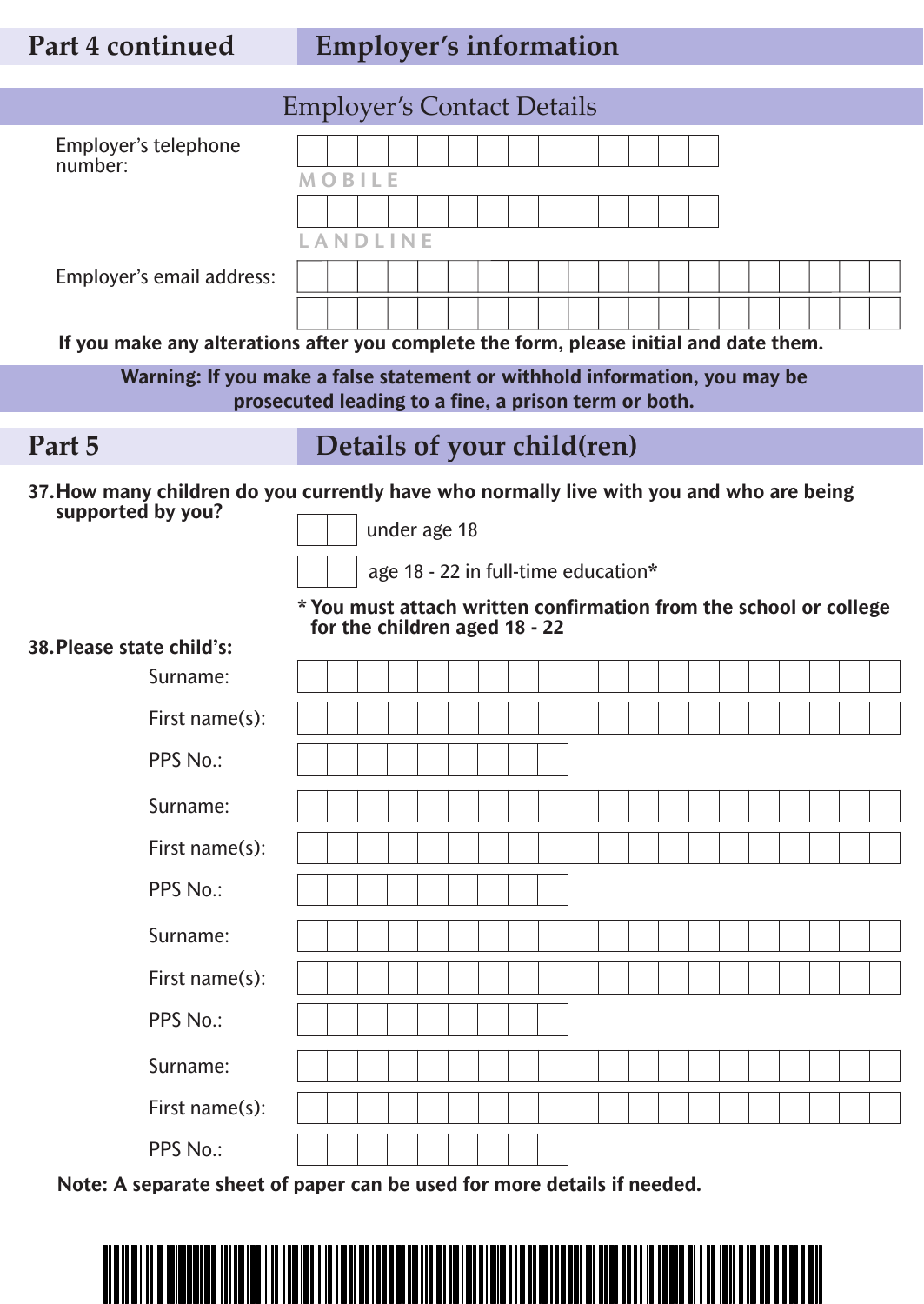# **Part 4 continued Employer's information**

|                                                                                                               | <b>Employer's Contact Details</b>                    |                                     |  |                                                                   |
|---------------------------------------------------------------------------------------------------------------|------------------------------------------------------|-------------------------------------|--|-------------------------------------------------------------------|
| Employer's telephone<br>number:                                                                               |                                                      |                                     |  |                                                                   |
|                                                                                                               | <b>MOBILE</b>                                        |                                     |  |                                                                   |
|                                                                                                               |                                                      |                                     |  |                                                                   |
|                                                                                                               | LANDLINE                                             |                                     |  |                                                                   |
| Employer's email address:                                                                                     |                                                      |                                     |  |                                                                   |
|                                                                                                               |                                                      |                                     |  |                                                                   |
| If you make any alterations after you complete the form, please initial and date them.                        |                                                      |                                     |  |                                                                   |
| Warning: If you make a false statement or withhold information, you may be                                    |                                                      |                                     |  |                                                                   |
|                                                                                                               | prosecuted leading to a fine, a prison term or both. |                                     |  |                                                                   |
| Part 5                                                                                                        | Details of your child(ren)                           |                                     |  |                                                                   |
| 37. How many children do you currently have who normally live with you and who are being<br>supported by you? |                                                      |                                     |  |                                                                   |
|                                                                                                               |                                                      | under age 18                        |  |                                                                   |
|                                                                                                               |                                                      | age 18 - 22 in full-time education* |  |                                                                   |
|                                                                                                               | for the children aged 18 - 22                        |                                     |  | * You must attach written confirmation from the school or college |
| 38. Please state child's:                                                                                     |                                                      |                                     |  |                                                                   |
| Surname:                                                                                                      |                                                      |                                     |  |                                                                   |
| First name(s):                                                                                                |                                                      |                                     |  |                                                                   |
| PPS No.:                                                                                                      |                                                      |                                     |  |                                                                   |
| Surname:                                                                                                      |                                                      |                                     |  |                                                                   |
| First name(s):                                                                                                |                                                      |                                     |  |                                                                   |
| PPS No.:                                                                                                      |                                                      |                                     |  |                                                                   |
| Surname:                                                                                                      |                                                      |                                     |  |                                                                   |
| First name(s):                                                                                                |                                                      |                                     |  |                                                                   |
| PPS No.:                                                                                                      |                                                      |                                     |  |                                                                   |
| Surname:                                                                                                      |                                                      |                                     |  |                                                                   |
| First name(s):                                                                                                |                                                      |                                     |  |                                                                   |
| PPS No.:                                                                                                      |                                                      |                                     |  |                                                                   |

**Note: A separate sheet of paper can be used for more details if needed.**

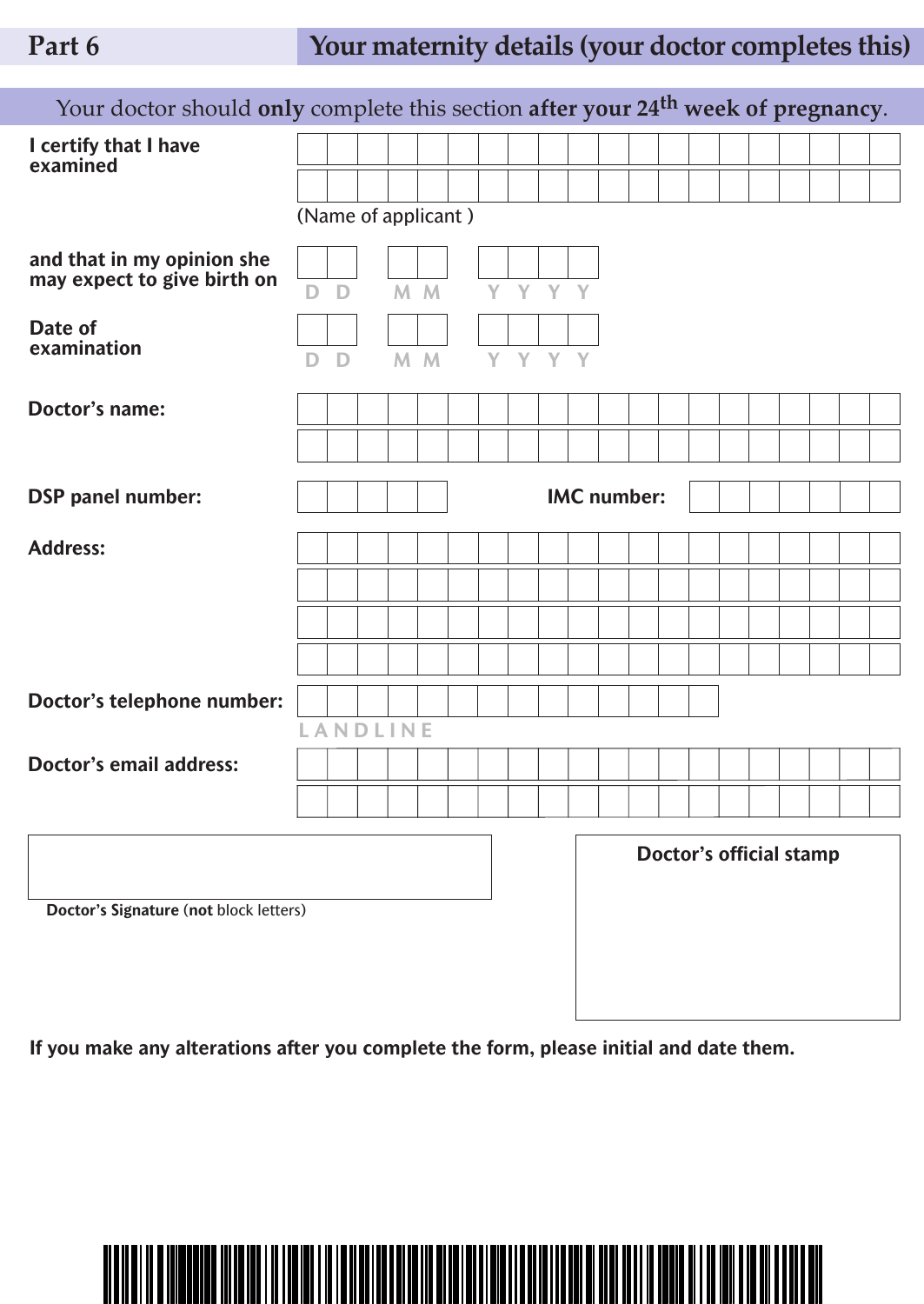# **Part 6 Your maternity details (your doctor completes this)**

| Your doctor should only complete this section after your 24 <sup>th</sup> week of pregnancy. |   |              |                     |                |      |         |                    |  |  |                                |  |  |  |
|----------------------------------------------------------------------------------------------|---|--------------|---------------------|----------------|------|---------|--------------------|--|--|--------------------------------|--|--|--|
| I certify that I have<br>examined                                                            |   |              |                     |                |      |         |                    |  |  |                                |  |  |  |
|                                                                                              |   |              |                     |                |      |         |                    |  |  |                                |  |  |  |
|                                                                                              |   |              | (Name of applicant) |                |      |         |                    |  |  |                                |  |  |  |
| and that in my opinion she<br>may expect to give birth on                                    |   |              |                     |                |      |         |                    |  |  |                                |  |  |  |
|                                                                                              | D | $\mathbf{D}$ |                     | M M            |      | Y Y Y Y |                    |  |  |                                |  |  |  |
| Date of<br>examination                                                                       |   |              |                     |                |      |         |                    |  |  |                                |  |  |  |
|                                                                                              | D | D            |                     | M <sub>M</sub> | YYYY |         |                    |  |  |                                |  |  |  |
| <b>Doctor's name:</b>                                                                        |   |              |                     |                |      |         |                    |  |  |                                |  |  |  |
|                                                                                              |   |              |                     |                |      |         |                    |  |  |                                |  |  |  |
| <b>DSP</b> panel number:                                                                     |   |              |                     |                |      |         | <b>IMC</b> number: |  |  |                                |  |  |  |
|                                                                                              |   |              |                     |                |      |         |                    |  |  |                                |  |  |  |
| <b>Address:</b>                                                                              |   |              |                     |                |      |         |                    |  |  |                                |  |  |  |
|                                                                                              |   |              |                     |                |      |         |                    |  |  |                                |  |  |  |
|                                                                                              |   |              |                     |                |      |         |                    |  |  |                                |  |  |  |
|                                                                                              |   |              |                     |                |      |         |                    |  |  |                                |  |  |  |
| Doctor's telephone number:                                                                   |   |              |                     |                |      |         |                    |  |  |                                |  |  |  |
|                                                                                              |   |              | <b>ANDLINE</b>      |                |      |         |                    |  |  |                                |  |  |  |
| <b>Doctor's email address:</b>                                                               |   |              |                     |                |      |         |                    |  |  |                                |  |  |  |
|                                                                                              |   |              |                     |                |      |         |                    |  |  |                                |  |  |  |
|                                                                                              |   |              |                     |                |      |         |                    |  |  | <b>Doctor's official stamp</b> |  |  |  |
| Doctor's Signature (not block letters)                                                       |   |              |                     |                |      |         |                    |  |  |                                |  |  |  |
|                                                                                              |   |              |                     |                |      |         |                    |  |  |                                |  |  |  |
|                                                                                              |   |              |                     |                |      |         |                    |  |  |                                |  |  |  |

**If you make any alterations after you complete the form, please initial and date them.**

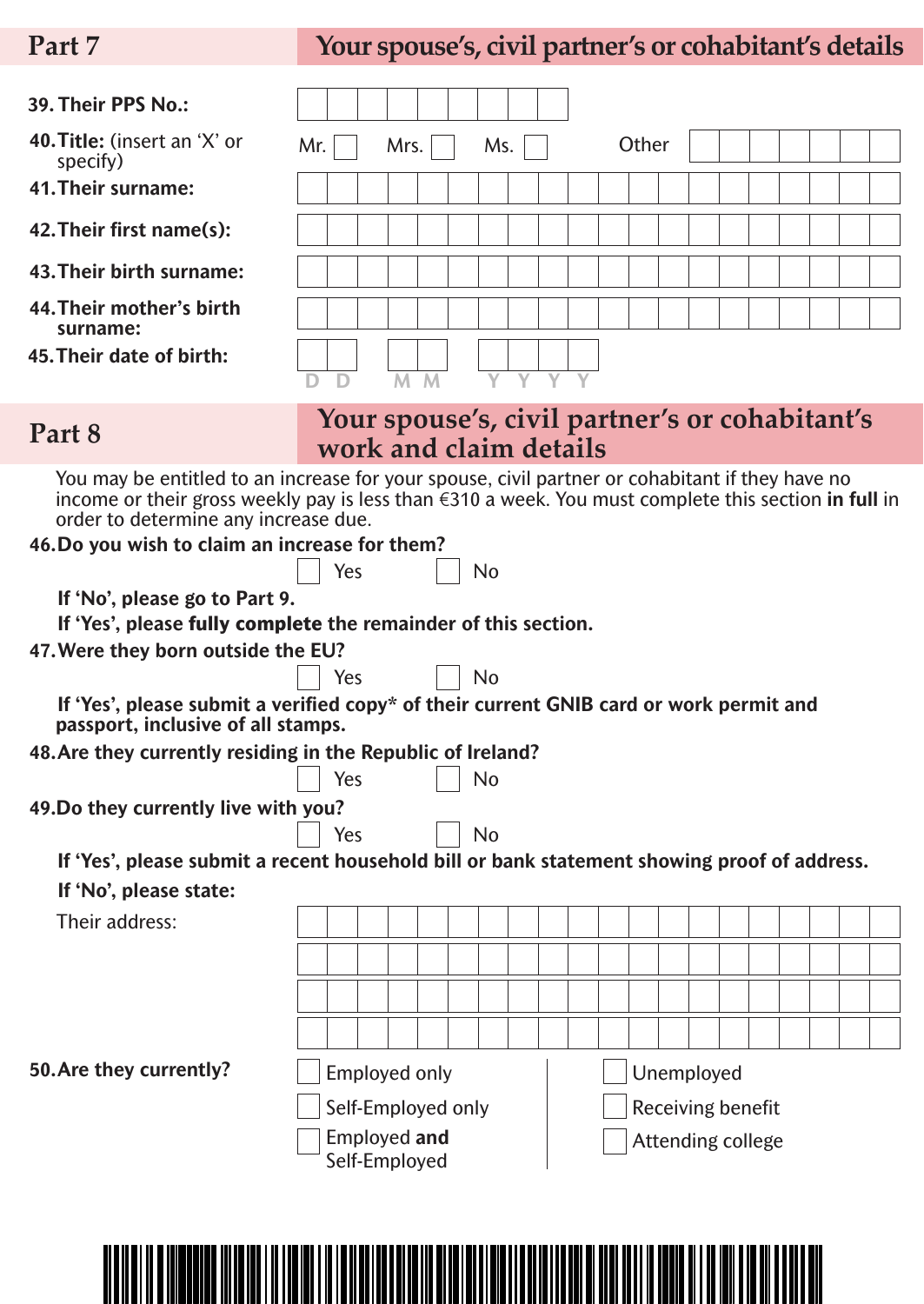**39. Their PPS No.:**

# **Part 7 Your spouse's, civil partner's or cohabitant's details**

| <b>40. Title:</b> (insert an 'X' or<br>specify)                                                                                                                                                                                                                                                             | Mr. |     | Mrs.                                                                     |  | Ms.       |  |  | Other |            |                          |  |  |  |
|-------------------------------------------------------------------------------------------------------------------------------------------------------------------------------------------------------------------------------------------------------------------------------------------------------------|-----|-----|--------------------------------------------------------------------------|--|-----------|--|--|-------|------------|--------------------------|--|--|--|
| 41. Their surname:                                                                                                                                                                                                                                                                                          |     |     |                                                                          |  |           |  |  |       |            |                          |  |  |  |
| 42. Their first name(s):                                                                                                                                                                                                                                                                                    |     |     |                                                                          |  |           |  |  |       |            |                          |  |  |  |
| 43. Their birth surname:                                                                                                                                                                                                                                                                                    |     |     |                                                                          |  |           |  |  |       |            |                          |  |  |  |
| 44. Their mother's birth<br>surname:                                                                                                                                                                                                                                                                        |     |     |                                                                          |  |           |  |  |       |            |                          |  |  |  |
| 45. Their date of birth:                                                                                                                                                                                                                                                                                    |     |     |                                                                          |  |           |  |  |       |            |                          |  |  |  |
| Part 8                                                                                                                                                                                                                                                                                                      |     |     | Your spouse's, civil partner's or cohabitant's<br>work and claim details |  |           |  |  |       |            |                          |  |  |  |
| You may be entitled to an increase for your spouse, civil partner or cohabitant if they have no<br>income or their gross weekly pay is less than $\epsilon$ 310 a week. You must complete this section in full in<br>order to determine any increase due.<br>46. Do you wish to claim an increase for them? |     |     |                                                                          |  |           |  |  |       |            |                          |  |  |  |
|                                                                                                                                                                                                                                                                                                             |     | Yes |                                                                          |  | No        |  |  |       |            |                          |  |  |  |
| If 'No', please go to Part 9.                                                                                                                                                                                                                                                                               |     |     |                                                                          |  |           |  |  |       |            |                          |  |  |  |
| If 'Yes', please fully complete the remainder of this section.                                                                                                                                                                                                                                              |     |     |                                                                          |  |           |  |  |       |            |                          |  |  |  |
| 47. Were they born outside the EU?                                                                                                                                                                                                                                                                          |     |     |                                                                          |  |           |  |  |       |            |                          |  |  |  |
|                                                                                                                                                                                                                                                                                                             |     | Yes |                                                                          |  | <b>No</b> |  |  |       |            |                          |  |  |  |
| If 'Yes', please submit a verified copy* of their current GNIB card or work permit and<br>passport, inclusive of all stamps.                                                                                                                                                                                |     |     |                                                                          |  |           |  |  |       |            |                          |  |  |  |
| 48. Are they currently residing in the Republic of Ireland?                                                                                                                                                                                                                                                 |     |     |                                                                          |  |           |  |  |       |            |                          |  |  |  |
|                                                                                                                                                                                                                                                                                                             |     | Yes |                                                                          |  | No        |  |  |       |            |                          |  |  |  |
| 49. Do they currently live with you?                                                                                                                                                                                                                                                                        |     |     |                                                                          |  |           |  |  |       |            |                          |  |  |  |
|                                                                                                                                                                                                                                                                                                             |     | Yes |                                                                          |  | <b>No</b> |  |  |       |            |                          |  |  |  |
| If 'Yes', please submit a recent household bill or bank statement showing proof of address.                                                                                                                                                                                                                 |     |     |                                                                          |  |           |  |  |       |            |                          |  |  |  |
| If 'No', please state:                                                                                                                                                                                                                                                                                      |     |     |                                                                          |  |           |  |  |       |            |                          |  |  |  |
| Their address:                                                                                                                                                                                                                                                                                              |     |     |                                                                          |  |           |  |  |       |            |                          |  |  |  |
|                                                                                                                                                                                                                                                                                                             |     |     |                                                                          |  |           |  |  |       |            |                          |  |  |  |
|                                                                                                                                                                                                                                                                                                             |     |     |                                                                          |  |           |  |  |       |            |                          |  |  |  |
|                                                                                                                                                                                                                                                                                                             |     |     |                                                                          |  |           |  |  |       |            |                          |  |  |  |
|                                                                                                                                                                                                                                                                                                             |     |     |                                                                          |  |           |  |  |       |            |                          |  |  |  |
| 50. Are they currently?                                                                                                                                                                                                                                                                                     |     |     | <b>Employed only</b>                                                     |  |           |  |  |       | Unemployed |                          |  |  |  |
|                                                                                                                                                                                                                                                                                                             |     |     | Self-Employed only                                                       |  |           |  |  |       |            | Receiving benefit        |  |  |  |
|                                                                                                                                                                                                                                                                                                             |     |     | <b>Employed and</b><br>Self-Employed                                     |  |           |  |  |       |            | <b>Attending college</b> |  |  |  |
|                                                                                                                                                                                                                                                                                                             |     |     |                                                                          |  |           |  |  |       |            |                          |  |  |  |

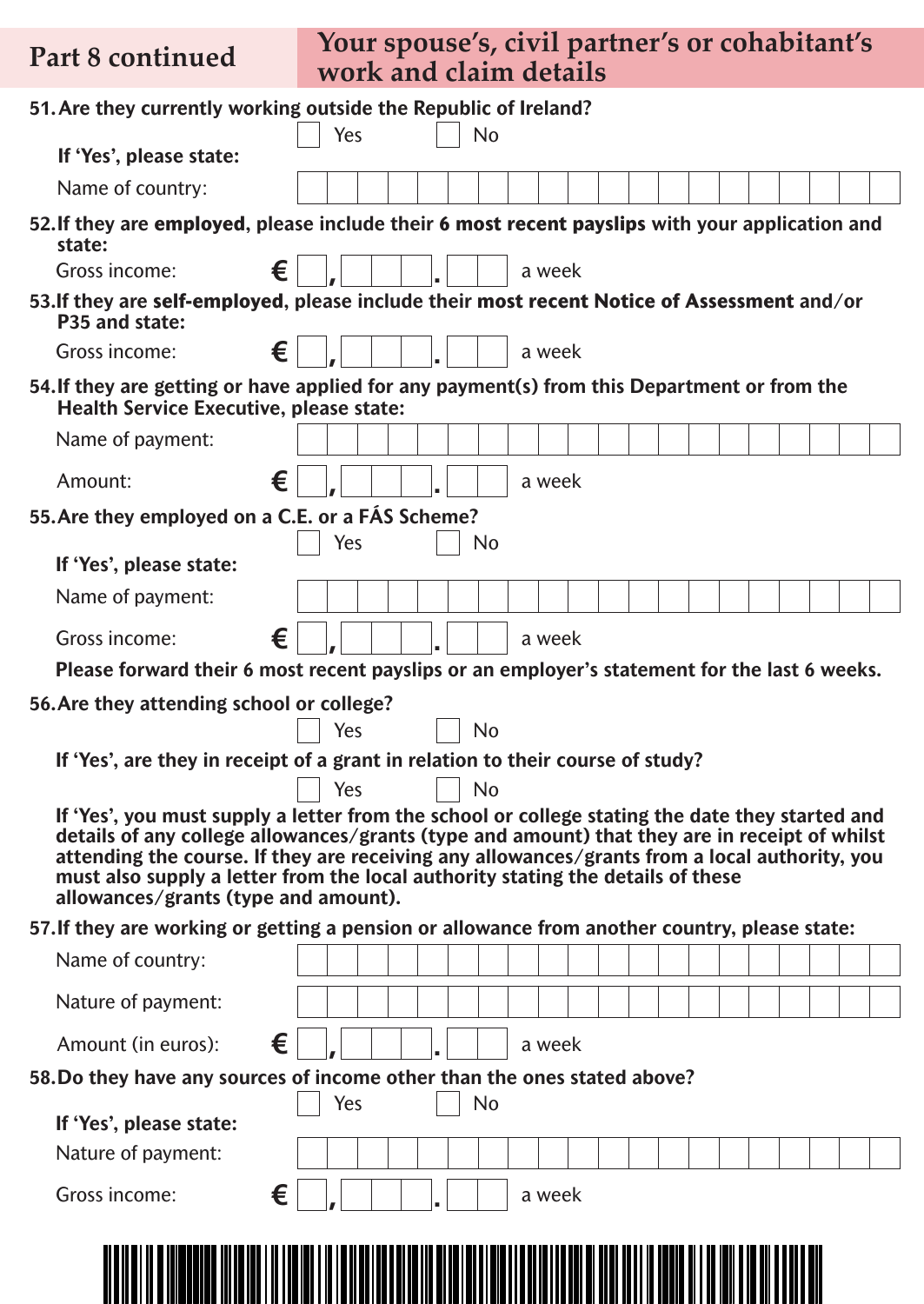**Part 8 continued**

## **Your spouse's, civil partner's or cohabitant's work and claim details**

|                                                  | 51. Are they currently working outside the Republic of Ireland?                                                                                                                                                                                                                                                                                                                      |  |
|--------------------------------------------------|--------------------------------------------------------------------------------------------------------------------------------------------------------------------------------------------------------------------------------------------------------------------------------------------------------------------------------------------------------------------------------------|--|
| If 'Yes', please state:                          | Yes<br>No                                                                                                                                                                                                                                                                                                                                                                            |  |
| Name of country:                                 |                                                                                                                                                                                                                                                                                                                                                                                      |  |
| state:                                           | 52. If they are employed, please include their 6 most recent payslips with your application and                                                                                                                                                                                                                                                                                      |  |
| €<br>Gross income:                               | a week                                                                                                                                                                                                                                                                                                                                                                               |  |
| P35 and state:                                   | 53. If they are self-employed, please include their most recent Notice of Assessment and/or                                                                                                                                                                                                                                                                                          |  |
| €<br>Gross income:                               | a week                                                                                                                                                                                                                                                                                                                                                                               |  |
| <b>Health Service Executive, please state:</b>   | 54. If they are getting or have applied for any payment(s) from this Department or from the                                                                                                                                                                                                                                                                                          |  |
| Name of payment:                                 |                                                                                                                                                                                                                                                                                                                                                                                      |  |
| €<br>Amount:                                     | a week                                                                                                                                                                                                                                                                                                                                                                               |  |
| 55. Are they employed on a C.E. or a FAS Scheme? |                                                                                                                                                                                                                                                                                                                                                                                      |  |
|                                                  | Yes<br>No                                                                                                                                                                                                                                                                                                                                                                            |  |
| If 'Yes', please state:                          |                                                                                                                                                                                                                                                                                                                                                                                      |  |
| Name of payment:                                 |                                                                                                                                                                                                                                                                                                                                                                                      |  |
| €<br>Gross income:                               | a week                                                                                                                                                                                                                                                                                                                                                                               |  |
|                                                  | Please forward their 6 most recent payslips or an employer's statement for the last 6 weeks.                                                                                                                                                                                                                                                                                         |  |
| 56. Are they attending school or college?        |                                                                                                                                                                                                                                                                                                                                                                                      |  |
|                                                  | <b>No</b><br>Yes<br>If 'Yes', are they in receipt of a grant in relation to their course of study?                                                                                                                                                                                                                                                                                   |  |
|                                                  | Yes<br><b>No</b>                                                                                                                                                                                                                                                                                                                                                                     |  |
| allowances/grants (type and amount).             | If 'Yes', you must supply a letter from the school or college stating the date they started and<br>details of any college allowances/grants (type and amount) that they are in receipt of whilst<br>attending the course. If they are receiving any allowances/grants from a local authority, you<br>must also supply a letter from the local authority stating the details of these |  |
|                                                  | 57. If they are working or getting a pension or allowance from another country, please state:                                                                                                                                                                                                                                                                                        |  |
| Name of country:                                 |                                                                                                                                                                                                                                                                                                                                                                                      |  |
| Nature of payment:                               |                                                                                                                                                                                                                                                                                                                                                                                      |  |
| €<br>Amount (in euros):                          | a week                                                                                                                                                                                                                                                                                                                                                                               |  |
|                                                  | 58. Do they have any sources of income other than the ones stated above?                                                                                                                                                                                                                                                                                                             |  |
| If 'Yes', please state:                          | Yes<br>No                                                                                                                                                                                                                                                                                                                                                                            |  |
| Nature of payment:                               |                                                                                                                                                                                                                                                                                                                                                                                      |  |
| €<br>Gross income:                               | a week                                                                                                                                                                                                                                                                                                                                                                               |  |
|                                                  |                                                                                                                                                                                                                                                                                                                                                                                      |  |
|                                                  |                                                                                                                                                                                                                                                                                                                                                                                      |  |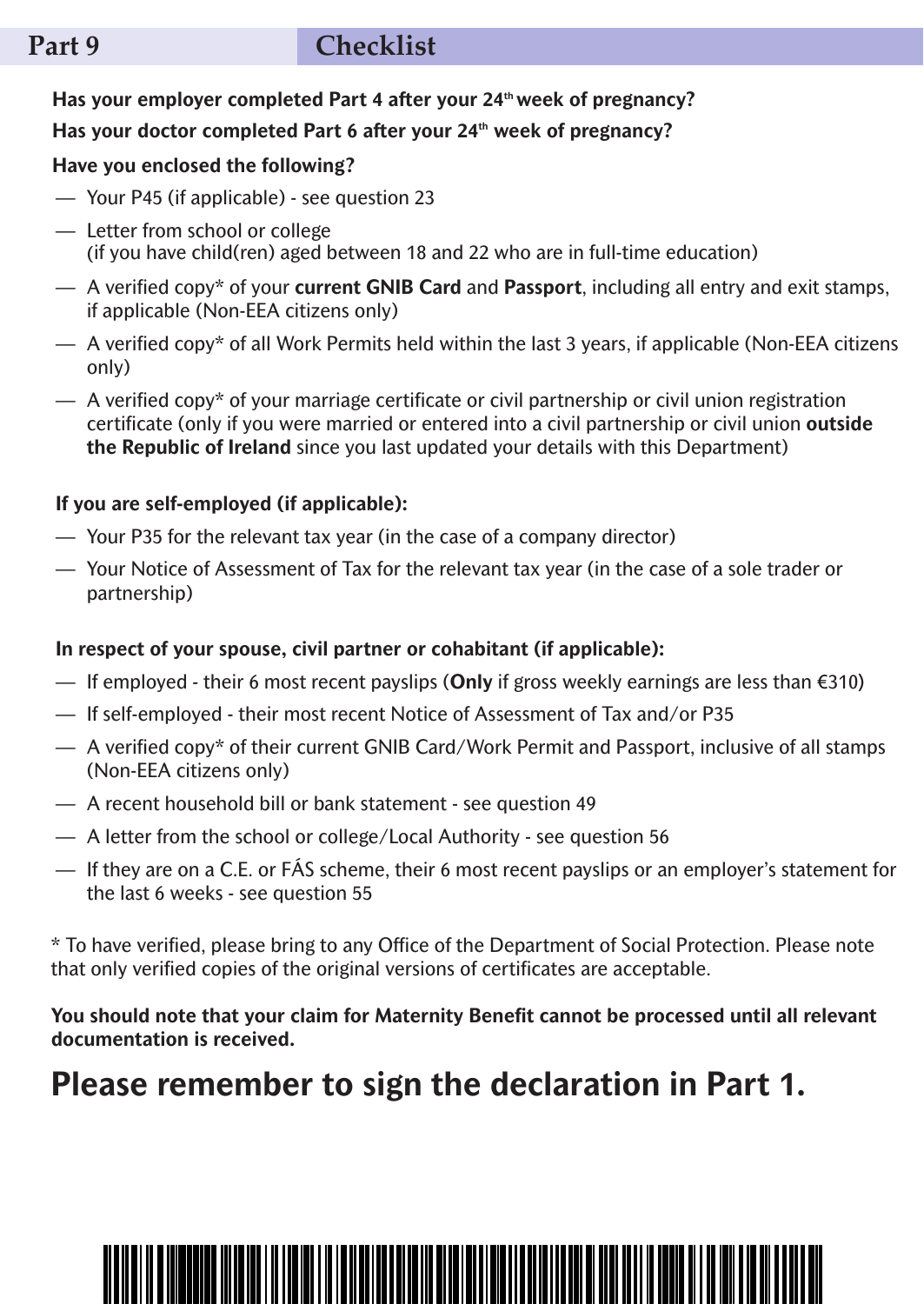## **Part 9 checklist**

### **Has your employer completed Part 4 after your 24thweek of pregnancy?**

### **Has your doctor completed Part 6 after your 24th week of pregnancy?**

### **Have you enclosed the following?**

- Your P45 (if applicable) see question 23
- Letter from school or college (if you have child(ren) aged between 18 and 22 who are in full-time education)
- A verified copy\* of your **current GNIB Card** and **Passport**, including all entry and exit stamps, if applicable (Non-EEA citizens only)
- A verified copy\* of all Work Permits held within the last 3 years, if applicable (Non-EEA citizens only)
- $-\alpha$  A verified copy\* of your marriage certificate or civil partnership or civil union registration certificate (only if you were married or entered into a civil partnership or civil union **outside the Republic of Ireland** since you last updated your details with this Department)

### **If you are self-employed (if applicable):**

- Your P35 for the relevant tax year (in the case of a company director)
- Your Notice of Assessment of Tax for the relevant tax year (in the case of a sole trader or partnership)

### **In respect of your spouse, civil partner or cohabitant (if applicable):**

- If employed their 6 most recent payslips (**Only** if gross weekly earnings are less than €310)
- If self-employed their most recent Notice of Assessment of Tax and/or P35
- A verified copy\* of their current GNIB Card/Work Permit and Passport, inclusive of all stamps (Non-EEA citizens only)
- A recent household bill or bank statement see question 49
- A letter from the school or college/Local Authority see question 56
- If they are on a C.E. or FÁS scheme, their 6 most recent payslips or an employer's statement for the last 6 weeks - see question 55

\* To have verified, please bring to any Office of the Department of Social Protection. Please note that only verified copies of the original versions of certificates are acceptable.

**You should note that your claim for Maternity Benefit cannot be processed until all relevant documentation is received.**

# **Please remember to sign the declaration in Part 1.**

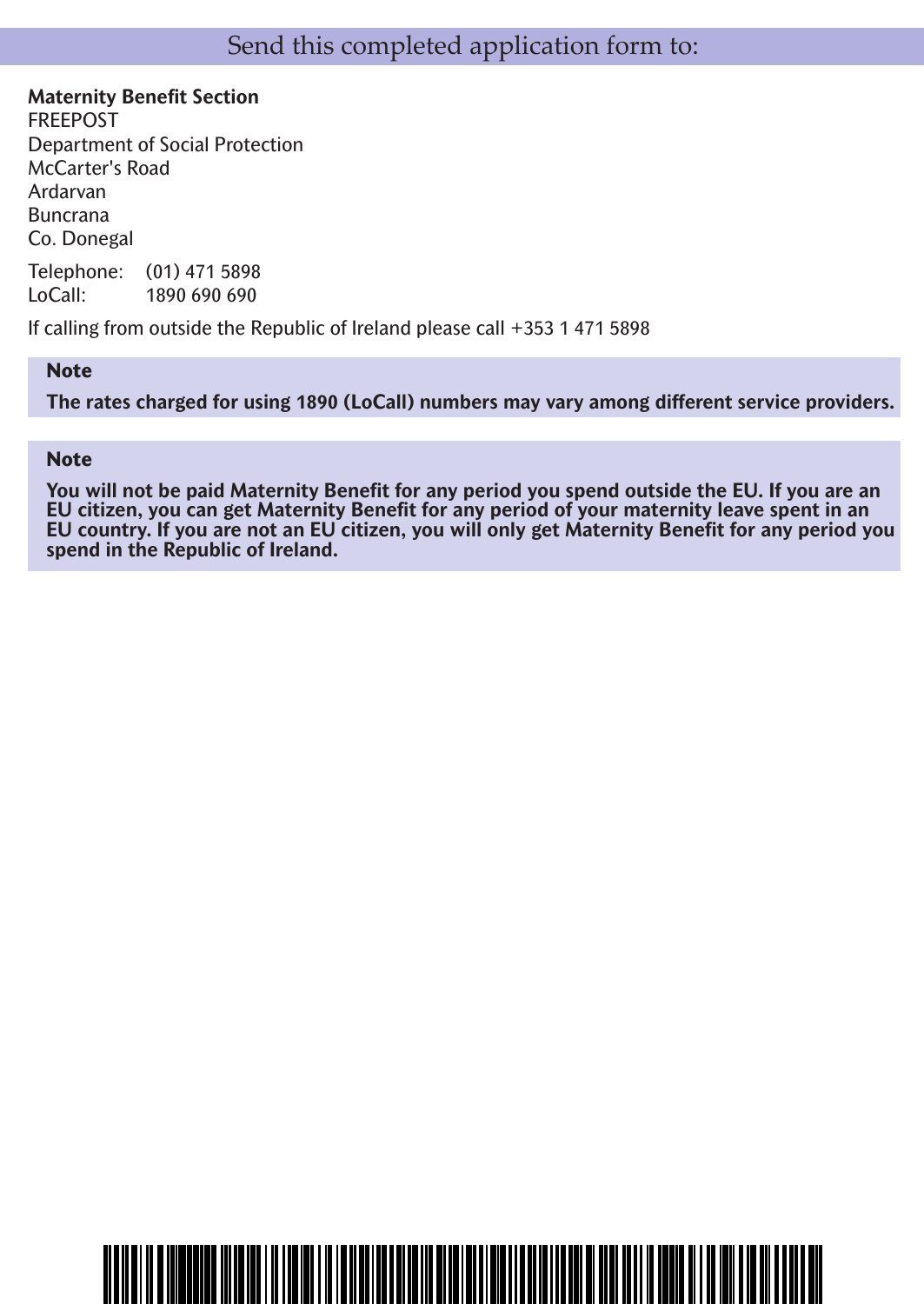**Maternity Benefit Section** FREEPOST Department of Social Protection McCarter's Road Ardarvan Buncrana Co. Donegal

Telephone: (01) 471 5898 LoCall: 1890 690 690

If calling from outside the Republic of Ireland please call +353 1 471 5898

<u>MANA MENGENTAH MANAH MENJIM MENJIM MEN</u>

### **Note**

**The rates charged for using 1890 (LoCall) numbers may vary among different service providers.**

### **Note**

You will not be paid Maternity Benefit for any period you spend outside the EU. If you are an **EU citizen, you can get Maternity Benefit for any period of your maternity leave spent in an** EU country. If you are not an EU citizen, you will only get Maternity Benefit for any period you **spend in the Republic of Ireland.**